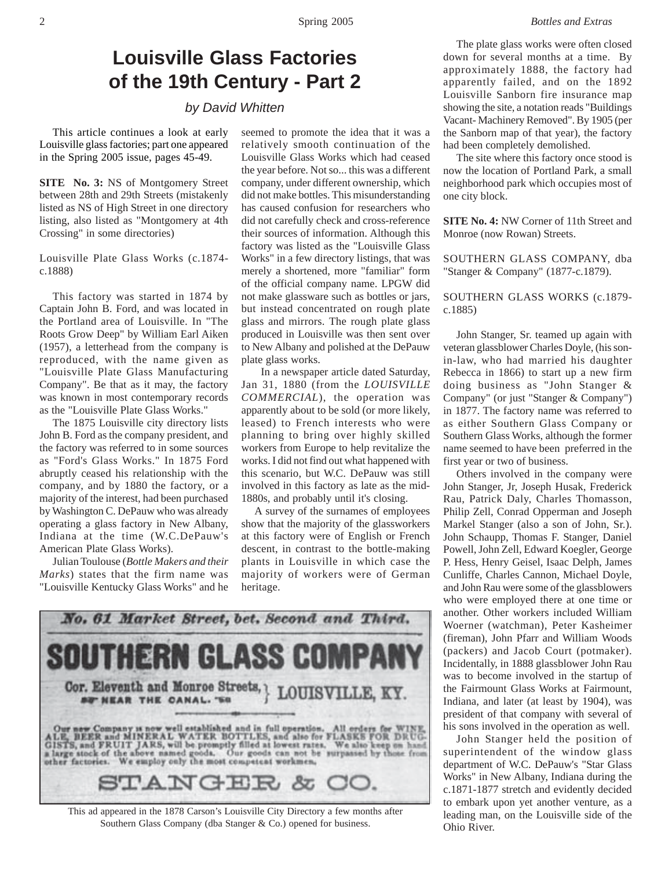## **Louisville Glass Factories of the 19th Century - Part 2**

*by David Whitten*

This article continues a look at early Louisville glass factories; part one appeared in the Spring 2005 issue, pages 45-49.

**SITE No. 3:** NS of Montgomery Street between 28th and 29th Streets (mistakenly listed as NS of High Street in one directory listing, also listed as "Montgomery at 4th Crossing" in some directories)

Louisville Plate Glass Works (c.1874 c.1888)

This factory was started in 1874 by Captain John B. Ford, and was located in the Portland area of Louisville. In "The Roots Grow Deep" by William Earl Aiken (1957), a letterhead from the company is reproduced, with the name given as "Louisville Plate Glass Manufacturing Company". Be that as it may, the factory was known in most contemporary records as the "Louisville Plate Glass Works."

The 1875 Louisville city directory lists John B. Ford as the company president, and the factory was referred to in some sources as "Ford's Glass Works." In 1875 Ford abruptly ceased his relationship with the company, and by 1880 the factory, or a majority of the interest, had been purchased by Washington C. DePauw who was already operating a glass factory in New Albany, Indiana at the time (W.C.DePauw's American Plate Glass Works).

Julian Toulouse (*Bottle Makers and their Marks*) states that the firm name was "Louisville Kentucky Glass Works" and he

seemed to promote the idea that it was a relatively smooth continuation of the Louisville Glass Works which had ceased the year before. Not so... this was a different company, under different ownership, which did not make bottles. This misunderstanding has caused confusion for researchers who did not carefully check and cross-reference their sources of information. Although this factory was listed as the "Louisville Glass Works" in a few directory listings, that was merely a shortened, more "familiar" form of the official company name. LPGW did not make glassware such as bottles or jars, but instead concentrated on rough plate glass and mirrors. The rough plate glass produced in Louisville was then sent over to New Albany and polished at the DePauw plate glass works.

 In a newspaper article dated Saturday, Jan 31, 1880 (from the *LOUISVILLE COMMERCIAL*), the operation was apparently about to be sold (or more likely, leased) to French interests who were planning to bring over highly skilled workers from Europe to help revitalize the works. I did not find out what happened with this scenario, but W.C. DePauw was still involved in this factory as late as the mid-1880s, and probably until it's closing.

A survey of the surnames of employees show that the majority of the glassworkers at this factory were of English or French descent, in contrast to the bottle-making plants in Louisville in which case the majority of workers were of German heritage.



This ad appeared in the 1878 Carson's Louisville City Directory a few months after Southern Glass Company (dba Stanger & Co.) opened for business.

The plate glass works were often closed down for several months at a time. By approximately 1888, the factory had apparently failed, and on the 1892 Louisville Sanborn fire insurance map showing the site, a notation reads "Buildings Vacant- Machinery Removed". By 1905 (per the Sanborn map of that year), the factory had been completely demolished.

The site where this factory once stood is now the location of Portland Park, a small neighborhood park which occupies most of one city block.

**SITE No. 4:** NW Corner of 11th Street and Monroe (now Rowan) Streets.

SOUTHERN GLASS COMPANY, dba "Stanger & Company" (1877-c.1879).

SOUTHERN GLASS WORKS (c.1879 c.1885)

John Stanger, Sr. teamed up again with veteran glassblower Charles Doyle, (his sonin-law, who had married his daughter Rebecca in 1866) to start up a new firm doing business as "John Stanger & Company" (or just "Stanger & Company") in 1877. The factory name was referred to as either Southern Glass Company or Southern Glass Works, although the former name seemed to have been preferred in the first year or two of business.

Others involved in the company were John Stanger, Jr, Joseph Husak, Frederick Rau, Patrick Daly, Charles Thomasson, Philip Zell, Conrad Opperman and Joseph Markel Stanger (also a son of John, Sr.). John Schaupp, Thomas F. Stanger, Daniel Powell, John Zell, Edward Koegler, George P. Hess, Henry Geisel, Isaac Delph, James Cunliffe, Charles Cannon, Michael Doyle, and John Rau were some of the glassblowers who were employed there at one time or another. Other workers included William Woerner (watchman), Peter Kasheimer (fireman), John Pfarr and William Woods (packers) and Jacob Court (potmaker). Incidentally, in 1888 glassblower John Rau was to become involved in the startup of the Fairmount Glass Works at Fairmount, Indiana, and later (at least by 1904), was president of that company with several of his sons involved in the operation as well.

John Stanger held the position of superintendent of the window glass department of W.C. DePauw's "Star Glass Works" in New Albany, Indiana during the c.1871-1877 stretch and evidently decided to embark upon yet another venture, as a leading man, on the Louisville side of the Ohio River.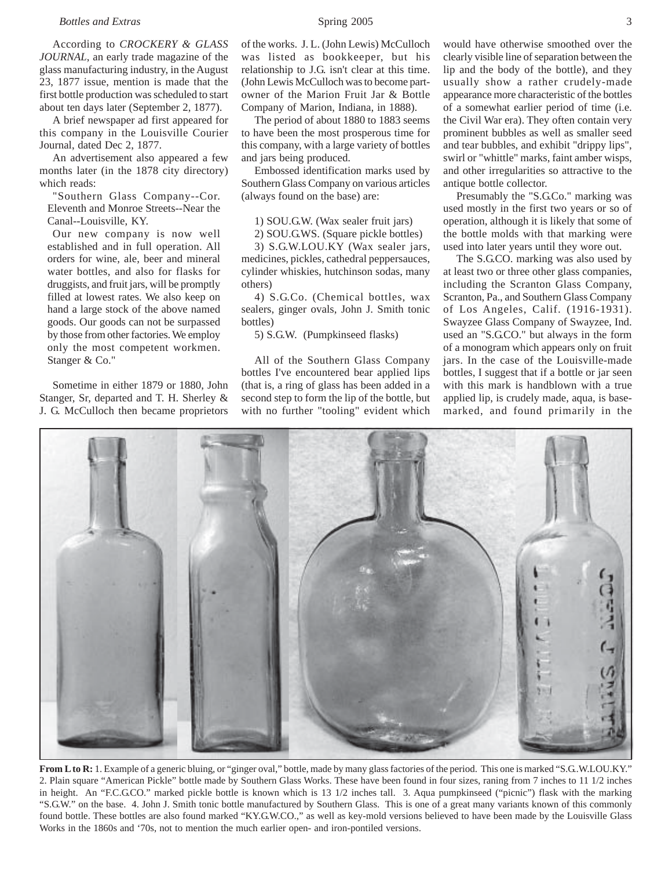According to *CROCKERY & GLASS JOURNAL*, an early trade magazine of the glass manufacturing industry, in the August 23, 1877 issue, mention is made that the first bottle production was scheduled to start about ten days later (September 2, 1877).

A brief newspaper ad first appeared for this company in the Louisville Courier Journal, dated Dec 2, 1877.

An advertisement also appeared a few months later (in the 1878 city directory) which reads:

"Southern Glass Company--Cor. Eleventh and Monroe Streets--Near the Canal--Louisville, KY.

Our new company is now well established and in full operation. All orders for wine, ale, beer and mineral water bottles, and also for flasks for druggists, and fruit jars, will be promptly filled at lowest rates. We also keep on hand a large stock of the above named goods. Our goods can not be surpassed by those from other factories. We employ only the most competent workmen. Stanger & Co."

Sometime in either 1879 or 1880, John Stanger, Sr, departed and T. H. Sherley & J. G. McCulloch then became proprietors of the works. J. L. (John Lewis) McCulloch was listed as bookkeeper, but his relationship to J.G. isn't clear at this time. (John Lewis McCulloch was to become part-

Company of Marion, Indiana, in 1888). The period of about 1880 to 1883 seems to have been the most prosperous time for this company, with a large variety of bottles and jars being produced.

owner of the Marion Fruit Jar & Bottle

Embossed identification marks used by Southern Glass Company on various articles (always found on the base) are:

1) SOU.G.W. (Wax sealer fruit jars)

2) SOU.G.WS. (Square pickle bottles)

3) S.G.W.LOU.KY (Wax sealer jars, medicines, pickles, cathedral peppersauces, cylinder whiskies, hutchinson sodas, many others)

4) S.G.Co. (Chemical bottles, wax sealers, ginger ovals, John J. Smith tonic bottles)

5) S.G.W. (Pumpkinseed flasks)

All of the Southern Glass Company bottles I've encountered bear applied lips (that is, a ring of glass has been added in a second step to form the lip of the bottle, but with no further "tooling" evident which

would have otherwise smoothed over the clearly visible line of separation between the lip and the body of the bottle), and they usually show a rather crudely-made appearance more characteristic of the bottles of a somewhat earlier period of time (i.e. the Civil War era). They often contain very prominent bubbles as well as smaller seed and tear bubbles, and exhibit "drippy lips", swirl or "whittle" marks, faint amber wisps, and other irregularities so attractive to the antique bottle collector.

Presumably the "S.G.Co." marking was used mostly in the first two years or so of operation, although it is likely that some of the bottle molds with that marking were used into later years until they wore out.

The S.G.CO. marking was also used by at least two or three other glass companies, including the Scranton Glass Company, Scranton, Pa., and Southern Glass Company of Los Angeles, Calif. (1916-1931). Swayzee Glass Company of Swayzee, Ind. used an "S.G.CO." but always in the form of a monogram which appears only on fruit jars. In the case of the Louisville-made bottles, I suggest that if a bottle or jar seen with this mark is handblown with a true applied lip, is crudely made, aqua, is basemarked, and found primarily in the



2. Plain square "American Pickle" bottle made by Southern Glass Works. These have been found in four sizes, raning from 7 inches to 11 1/2 inches in height. An "F.C.G.CO." marked pickle bottle is known which is 13 1/2 inches tall. 3. Aqua pumpkinseed ("picnic") flask with the marking "S.G.W." on the base. 4. John J. Smith tonic bottle manufactured by Southern Glass. This is one of a great many variants known of this commonly found bottle. These bottles are also found marked "KY.G.W.CO.," as well as key-mold versions believed to have been made by the Louisville Glass Works in the 1860s and '70s, not to mention the much earlier open- and iron-pontiled versions.